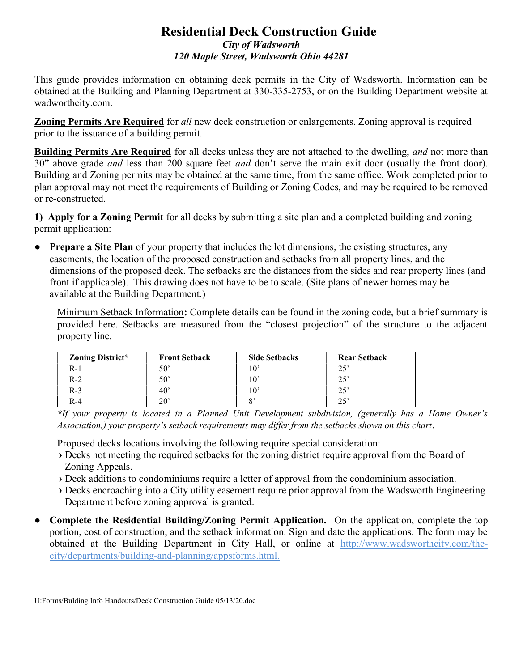## Residential Deck Construction Guide City of Wadsworth 120 Maple Street, Wadsworth Ohio 44281

This guide provides information on obtaining deck permits in the City of Wadsworth. Information can be obtained at the Building and Planning Department at 330-335-2753, or on the Building Department website at wadworthcity.com.

Zoning Permits Are Required for all new deck construction or enlargements. Zoning approval is required prior to the issuance of a building permit.

**Building Permits Are Required** for all decks unless they are not attached to the dwelling, *and* not more than 30" above grade *and* less than 200 square feet *and* don't serve the main exit door (usually the front door). Building and Zoning permits may be obtained at the same time, from the same office. Work completed prior to plan approval may not meet the requirements of Building or Zoning Codes, and may be required to be removed or re-constructed.

1) Apply for a Zoning Permit for all decks by submitting a site plan and a completed building and zoning permit application:

• Prepare a Site Plan of your property that includes the lot dimensions, the existing structures, any easements, the location of the proposed construction and setbacks from all property lines, and the dimensions of the proposed deck. The setbacks are the distances from the sides and rear property lines (and front if applicable). This drawing does not have to be to scale. (Site plans of newer homes may be available at the Building Department.)

Minimum Setback Information: Complete details can be found in the zoning code, but a brief summary is provided here. Setbacks are measured from the "closest projection" of the structure to the adjacent property line.

| Zoning District* | <b>Front Setback</b> | <b>Side Setbacks</b> | <b>Rear Setback</b> |
|------------------|----------------------|----------------------|---------------------|
| R-1              | $50^{\circ}$         |                      | 25'                 |
| $R-2$            | $50^{\circ}$         |                      | $25^{\circ}$        |
| $R-3$            | $40^{\circ}$         |                      | つく                  |
| $R-4$            | 20'                  | ο,                   | 25'                 |

<sup>\*</sup>If your property is located in a Planned Unit Development subdivision, (generally has a Home Owner's Association,) your property's setback requirements may differ from the setbacks shown on this chart.

Proposed decks locations involving the following require special consideration:

- › Decks not meeting the required setbacks for the zoning district require approval from the Board of Zoning Appeals.
- › Deck additions to condominiums require a letter of approval from the condominium association.
- › Decks encroaching into a City utility easement require prior approval from the Wadsworth Engineering Department before zoning approval is granted.
- Complete the Residential Building/Zoning Permit Application. On the application, complete the top portion, cost of construction, and the setback information. Sign and date the applications. The form may be obtained at the Building Department in City Hall, or online at http://www.wadsworthcity.com/thecity/departments/building-and-planning/appsforms.html.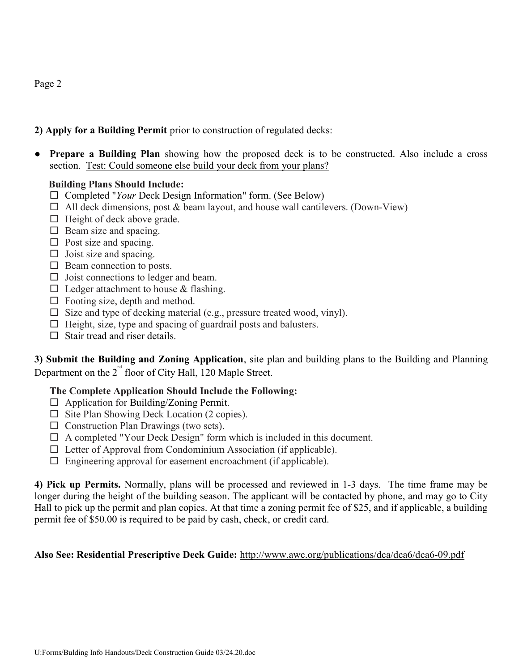## 2) Apply for a Building Permit prior to construction of regulated decks:

● Prepare a Building Plan showing how the proposed deck is to be constructed. Also include a cross section. Test: Could someone else build your deck from your plans?

## Building Plans Should Include:

- $\Box$  Completed "Your Deck Design Information" form. (See Below)
- $\Box$  All deck dimensions, post & beam layout, and house wall cantilevers. (Down-View)
- $\Box$  Height of deck above grade.
- $\Box$  Beam size and spacing.
- $\Box$  Post size and spacing.
- $\Box$  Joist size and spacing.
- $\Box$  Beam connection to posts.
- $\Box$  Joist connections to ledger and beam.
- $\Box$  Ledger attachment to house & flashing.
- $\Box$  Footing size, depth and method.
- $\Box$  Size and type of decking material (e.g., pressure treated wood, vinyl).
- $\Box$  Height, size, type and spacing of guardrail posts and balusters.
- $\Box$  Stair tread and riser details.

3) Submit the Building and Zoning Application, site plan and building plans to the Building and Planning Department on the  $2^{nd}$  floor of City Hall, 120 Maple Street.

## The Complete Application Should Include the Following:

- $\Box$  Application for Building/Zoning Permit.
- $\Box$  Site Plan Showing Deck Location (2 copies).
- $\Box$  Construction Plan Drawings (two sets).
- $\Box$  A completed "Your Deck Design" form which is included in this document.
- $\Box$  Letter of Approval from Condominium Association (if applicable).
- $\square$  Engineering approval for easement encroachment (if applicable).

4) Pick up Permits. Normally, plans will be processed and reviewed in 1-3 days. The time frame may be longer during the height of the building season. The applicant will be contacted by phone, and may go to City Hall to pick up the permit and plan copies. At that time a zoning permit fee of \$25, and if applicable, a building permit fee of \$50.00 is required to be paid by cash, check, or credit card.

## Also See: Residential Prescriptive Deck Guide: http://www.awc.org/publications/dca/dca6/dca6-09.pdf

U:Forms/Bulding Info Handouts/Deck Construction Guide 03/24.20.doc

## Page 2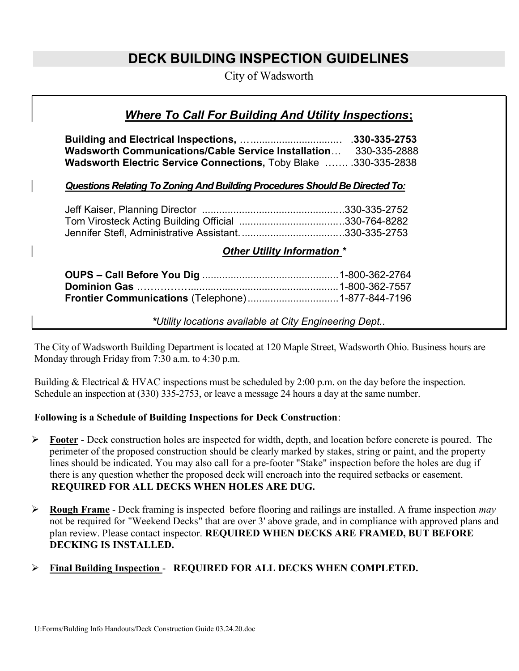# DECK BUILDING INSPECTION GUIDELINES

City of Wadsworth

## Where To Call For Building And Utility Inspections;

 Building and Electrical Inspections, … ............................... . .330-335-2753 Wadsworth Communications/Cable Service Installation… 330-335-2888 Wadsworth Electric Service Connections, Toby Blake ……. .330-335-2838

## Questions Relating To Zoning And Building Procedures Should Be Directed To:

| Tom Virosteck Acting Building Official 330-764-8282 |  |
|-----------------------------------------------------|--|
|                                                     |  |

#### Other Utility Information \*

| Frontier Communications (Telephone)1-877-844-7196 |  |
|---------------------------------------------------|--|

\*Utility locations available at City Engineering Dept..

The City of Wadsworth Building Department is located at 120 Maple Street, Wadsworth Ohio. Business hours are Monday through Friday from 7:30 a.m. to 4:30 p.m.

Building & Electrical & HVAC inspections must be scheduled by 2:00 p.m. on the day before the inspection. Schedule an inspection at (330) 335-2753, or leave a message 24 hours a day at the same number.

## Following is a Schedule of Building Inspections for Deck Construction:

- $\triangleright$  Footer Deck construction holes are inspected for width, depth, and location before concrete is poured. The perimeter of the proposed construction should be clearly marked by stakes, string or paint, and the property lines should be indicated. You may also call for a pre-footer "Stake" inspection before the holes are dug if there is any question whether the proposed deck will encroach into the required setbacks or easement. REQUIRED FOR ALL DECKS WHEN HOLES ARE DUG.
- **Rough Frame -** Deck framing is inspected before flooring and railings are installed. A frame inspection *may* not be required for "Weekend Decks" that are over 3' above grade, and in compliance with approved plans and plan review. Please contact inspector. REQUIRED WHEN DECKS ARE FRAMED, BUT BEFORE DECKING IS INSTALLED.

## Final Building Inspection - REQUIRED FOR ALL DECKS WHEN COMPLETED.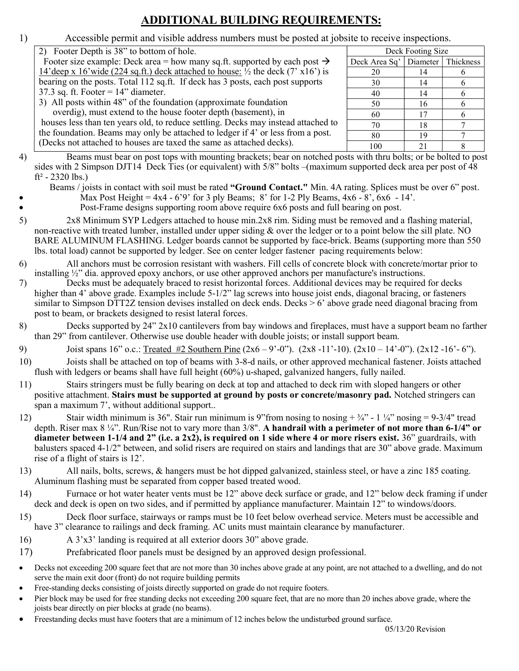## ADDITIONAL BUILDING REQUIREMENTS:

| 1)        | Accessible permit and visible address numbers must be posted at jobsite to receive inspections.                                                                                                                                                                                                                                                                                                                                                                                                                                                                                                                                                                                         |               |                   |                |
|-----------|-----------------------------------------------------------------------------------------------------------------------------------------------------------------------------------------------------------------------------------------------------------------------------------------------------------------------------------------------------------------------------------------------------------------------------------------------------------------------------------------------------------------------------------------------------------------------------------------------------------------------------------------------------------------------------------------|---------------|-------------------|----------------|
|           | 2) Footer Depth is 38" to bottom of hole.                                                                                                                                                                                                                                                                                                                                                                                                                                                                                                                                                                                                                                               |               | Deck Footing Size |                |
|           | Footer size example: Deck area = how many sq.ft. supported by each post $\rightarrow$                                                                                                                                                                                                                                                                                                                                                                                                                                                                                                                                                                                                   | Deck Area Sq' | Diameter          | Thickness      |
|           | 14' deep x 16' wide (224 sq.ft.) deck attached to house: $\frac{1}{2}$ the deck (7' x16') is                                                                                                                                                                                                                                                                                                                                                                                                                                                                                                                                                                                            | 20            | 14                | 6              |
|           | bearing on the posts. Total 112 sq.ft. If deck has 3 posts, each post supports                                                                                                                                                                                                                                                                                                                                                                                                                                                                                                                                                                                                          | 30            | 14                | 6              |
|           | 37.3 sq. ft. Footer = $14$ " diameter.                                                                                                                                                                                                                                                                                                                                                                                                                                                                                                                                                                                                                                                  | 40            | 14                | 6              |
|           | 3) All posts within 48" of the foundation (approximate foundation                                                                                                                                                                                                                                                                                                                                                                                                                                                                                                                                                                                                                       | 50            | 16                | 6              |
|           | overdig), must extend to the house footer depth (basement), in                                                                                                                                                                                                                                                                                                                                                                                                                                                                                                                                                                                                                          | 60            | 17                | 6              |
|           | houses less than ten years old, to reduce settling. Decks may instead attached to                                                                                                                                                                                                                                                                                                                                                                                                                                                                                                                                                                                                       | 70            | 18                | $\overline{7}$ |
|           | the foundation. Beams may only be attached to ledger if 4' or less from a post.                                                                                                                                                                                                                                                                                                                                                                                                                                                                                                                                                                                                         | 80            | 19                | $\overline{7}$ |
|           | (Decks not attached to houses are taxed the same as attached decks).                                                                                                                                                                                                                                                                                                                                                                                                                                                                                                                                                                                                                    | 100           | 21                | 8              |
| 4)<br>5)  | Beams must bear on post tops with mounting brackets; bear on notched posts with thru bolts; or be bolted to post<br>sides with 2 Simpson DJT14 Deck Ties (or equivalent) with 5/8" bolts –(maximum supported deck area per post of 48<br>$ft^2 - 2320$ lbs.)<br>Beams / joists in contact with soil must be rated "Ground Contact." Min. 4A rating. Splices must be over 6" post.<br>Max Post Height = $4x4 - 6'9'$ for 3 ply Beams; 8' for 1-2 Ply Beams, $4x6 - 8'$ , $6x6 - 14'$ .<br>Post-Frame designs supporting room above require 6x6 posts and full bearing on post.<br>2x8 Minimum SYP Ledgers attached to house min.2x8 rim. Siding must be removed and a flashing material, |               |                   |                |
|           | non-reactive with treated lumber, installed under upper siding & over the ledger or to a point below the sill plate. NO<br>BARE ALUMINUM FLASHING. Ledger boards cannot be supported by face-brick. Beams (supporting more than 550)<br>lbs. total load) cannot be supported by ledger. See on center ledger fastener pacing requirements below:                                                                                                                                                                                                                                                                                                                                        |               |                   |                |
| 6)        | All anchors must be corrosion resistant with washers. Fill cells of concrete block with concrete/mortar prior to                                                                                                                                                                                                                                                                                                                                                                                                                                                                                                                                                                        |               |                   |                |
| 7)        | installing $\frac{1}{2}$ dia. approved epoxy anchors, or use other approved anchors per manufacture's instructions.<br>Decks must be adequately braced to resist horizontal forces. Additional devices may be required for decks<br>higher than 4' above grade. Examples include 5-1/2" lag screws into house joist ends, diagonal bracing, or fasteners                                                                                                                                                                                                                                                                                                                                |               |                   |                |
|           | similar to Simpson DTT2Z tension devises installed on deck ends. Decks $> 6'$ above grade need diagonal bracing from<br>post to beam, or brackets designed to resist lateral forces.                                                                                                                                                                                                                                                                                                                                                                                                                                                                                                    |               |                   |                |
| 8)        | Decks supported by 24" 2x10 cantilevers from bay windows and fireplaces, must have a support beam no farther<br>than 29" from cantilever. Otherwise use double header with double joists; or install support beam.                                                                                                                                                                                                                                                                                                                                                                                                                                                                      |               |                   |                |
| 9)        | Joist spans 16" o.c.: Treated #2 Southern Pine $(2x6 - 9' - 0'')$ . $(2x8 - 11' - 10)$ . $(2x10 - 14' - 0'')$ . $(2x12 - 16' - 6'')$ .                                                                                                                                                                                                                                                                                                                                                                                                                                                                                                                                                  |               |                   |                |
| 10)       | Joists shall be attached on top of beams with 3-8-d nails, or other approved mechanical fastener. Joists attached<br>flush with ledgers or beams shall have full height (60%) u-shaped, galvanized hangers, fully nailed.                                                                                                                                                                                                                                                                                                                                                                                                                                                               |               |                   |                |
| 11)       | Stairs stringers must be fully bearing on deck at top and attached to deck rim with sloped hangers or other<br>positive attachment. Stairs must be supported at ground by posts or concrete/masonry pad. Notched stringers can<br>span a maximum 7', without additional support                                                                                                                                                                                                                                                                                                                                                                                                         |               |                   |                |
| 12)       | Stair width minimum is 36". Stair run minimum is 9"from nosing to nosing $+3/4$ " - 1 $\frac{1}{4}$ " nosing = 9-3/4" tread<br>depth. Riser max $8\frac{1}{4}$ . Run/Rise not to vary more than $3/8$ ". A handrail with a perimeter of not more than 6-1/4" or<br>diameter between $1-1/4$ and $2$ " (i.e. a 2x2), is required on 1 side where 4 or more risers exist. 36" guardrails, with<br>balusters spaced 4-1/2" between, and solid risers are required on stairs and landings that are 30" above grade. Maximum<br>rise of a flight of stairs is 12'.                                                                                                                           |               |                   |                |
| 13)       | All nails, bolts, screws, & hangers must be hot dipped galvanized, stainless steel, or have a zinc 185 coating.<br>Aluminum flashing must be separated from copper based treated wood.                                                                                                                                                                                                                                                                                                                                                                                                                                                                                                  |               |                   |                |
| 14)       | Furnace or hot water heater vents must be 12" above deck surface or grade, and 12" below deck framing if under<br>deck and deck is open on two sides, and if permitted by appliance manufacturer. Maintain 12" to windows/doors.                                                                                                                                                                                                                                                                                                                                                                                                                                                        |               |                   |                |
| 15)       | Deck floor surface, stairways or ramps must be 10 feet below overhead service. Meters must be accessible and<br>have 3" clearance to railings and deck framing. AC units must maintain clearance by manufacturer.                                                                                                                                                                                                                                                                                                                                                                                                                                                                       |               |                   |                |
| 16)       | A 3'x3' landing is required at all exterior doors 30" above grade.                                                                                                                                                                                                                                                                                                                                                                                                                                                                                                                                                                                                                      |               |                   |                |
| 17)       | Prefabricated floor panels must be designed by an approved design professional.                                                                                                                                                                                                                                                                                                                                                                                                                                                                                                                                                                                                         |               |                   |                |
|           |                                                                                                                                                                                                                                                                                                                                                                                                                                                                                                                                                                                                                                                                                         |               |                   |                |
| $\bullet$ | Decks not exceeding 200 square feet that are not more than 30 inches above grade at any point, are not attached to a dwelling, and do not<br>serve the main exit door (front) do not require building permits                                                                                                                                                                                                                                                                                                                                                                                                                                                                           |               |                   |                |
| ٠         | Free-standing decks consisting of joists directly supported on grade do not require footers.                                                                                                                                                                                                                                                                                                                                                                                                                                                                                                                                                                                            |               |                   |                |

- Pier block may be used for free standing decks not exceeding 200 square feet, that are no more than 20 inches above grade, where the joists bear directly on pier blocks at grade (no beams).
- Freestanding decks must have footers that are a minimum of 12 inches below the undisturbed ground surface.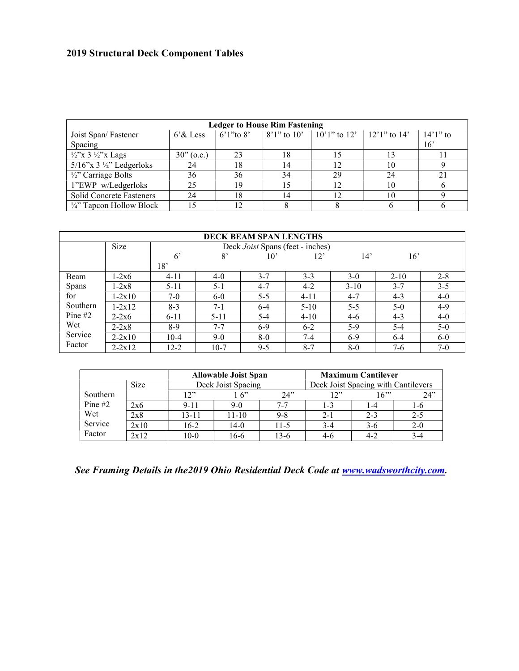## 2019 Structural Deck Component Tables

|                                          |              |    | <b>Ledger to House Rim Fastening</b> |                                       |    |             |
|------------------------------------------|--------------|----|--------------------------------------|---------------------------------------|----|-------------|
| Joist Span/Fastener                      | $6'$ & Less  |    | 6'1"to 8' $\mid$ 8'1" to 10'         | $10'1''$ to $12'$   $12'1''$ to $14'$ |    | $14'1''$ to |
| Spacing                                  |              |    |                                      |                                       |    | 16'         |
| $\frac{1}{2}$ 'x 3 $\frac{1}{2}$ 'x Lags | $30"$ (o.c.) | 23 |                                      |                                       |    |             |
| $5/16$ "x 3 ½" Ledgerloks                | 24           | 18 |                                      | 12                                    | 10 |             |
| $\frac{1}{2}$ Carriage Bolts             | 36           | 36 |                                      | 29                                    | 24 |             |
| 1"EWP w/Ledgerloks                       | 25           | 19 |                                      | 12                                    | 10 |             |
| Solid Concrete Fasteners                 | 24           | 18 |                                      |                                       | 10 |             |
| $\frac{1}{4}$ " Tapcon Hollow Block      |              |    |                                      |                                       |    |             |

|           |            |             |          | <b>DECK BEAM SPAN LENGTHS</b> |                                  |          |          |         |
|-----------|------------|-------------|----------|-------------------------------|----------------------------------|----------|----------|---------|
|           | Size       |             |          |                               | Deck Joist Spans (feet - inches) |          |          |         |
|           |            | $6^{\circ}$ | 8'       | $10^{\circ}$                  | 12'                              | 14'      | 16'      |         |
|           |            | 18'         |          |                               |                                  |          |          |         |
| Beam      | 1-2x6      | $4 - 11$    | $4-0$    | $3 - 7$                       | $3 - 3$                          | $3-0$    | $2 - 10$ | $2 - 8$ |
| Spans     | 1-2x8      | $5 - 11$    | $5 - 1$  | $4 - 7$                       | $4-2$                            | $3 - 10$ | $3 - 7$  | $3 - 5$ |
| for       | $1 - 2x10$ | $7-0$       | $6-0$    | $5 - 5$                       | $4 - 11$                         | $4 - 7$  | $4-3$    | $4-0$   |
| Southern  | $1 - 2x12$ | $8-3$       | $7-1$    | $6 - 4$                       | $5 - 10$                         | $5 - 5$  | $5-0$    | $4-9$   |
| Pine $#2$ | $2 - 2x6$  | $6 - 11$    | $5 - 11$ | 5-4                           | $4 - 10$                         | $4-6$    | $4 - 3$  | $4-0$   |
| Wet       | $2 - 2x8$  | 8-9         | $7 - 7$  | $6-9$                         | $6 - 2$                          | $5-9$    | $5 - 4$  | $5-0$   |
| Service   | $2 - 2x10$ | $10-4$      | $9-0$    | $8-0$                         | $7 - 4$                          | $6-9$    | $6-4$    | $6-0$   |
| Factor    | $2 - 2x12$ | $12 - 2$    | $10-7$   | $9 - 5$                       | $8 - 7$                          | $8-0$    | $7-6$    | $7-0$   |

|           |             |           | <b>Allowable Joist Span</b> |          |                                     | <b>Maximum Cantilever</b> |         |
|-----------|-------------|-----------|-----------------------------|----------|-------------------------------------|---------------------------|---------|
|           | <b>Size</b> |           | Deck Joist Spacing          |          | Deck Joist Spacing with Cantilevers |                           |         |
| Southern  |             | 17"       | $\sim$ 6"                   | 24"      | 17"                                 | 16"'                      | 24"     |
| Pine $#2$ | 2x6         | $9 - 11$  | $9-0$                       | $7 - 7$  | $-3$                                |                           | l -6    |
| Wet       | 2x8         | $13 - 11$ | $11 - 10$                   | $9 - 8$  | $2 - 1$                             | $2 - 3$                   | $2 - 5$ |
| Service   | 2x10        | $16-2$    | $14-0$                      | $11 - 5$ | $3-4$                               | $3-6$                     | $2 - 0$ |
| Factor    | 2x12        | $10-0$    | 16-6                        | 13-6     | 4-6                                 | 4-2                       | 3-4     |

See Framing Details in the2019 Ohio Residential Deck Code at www.wadsworthcity.com.